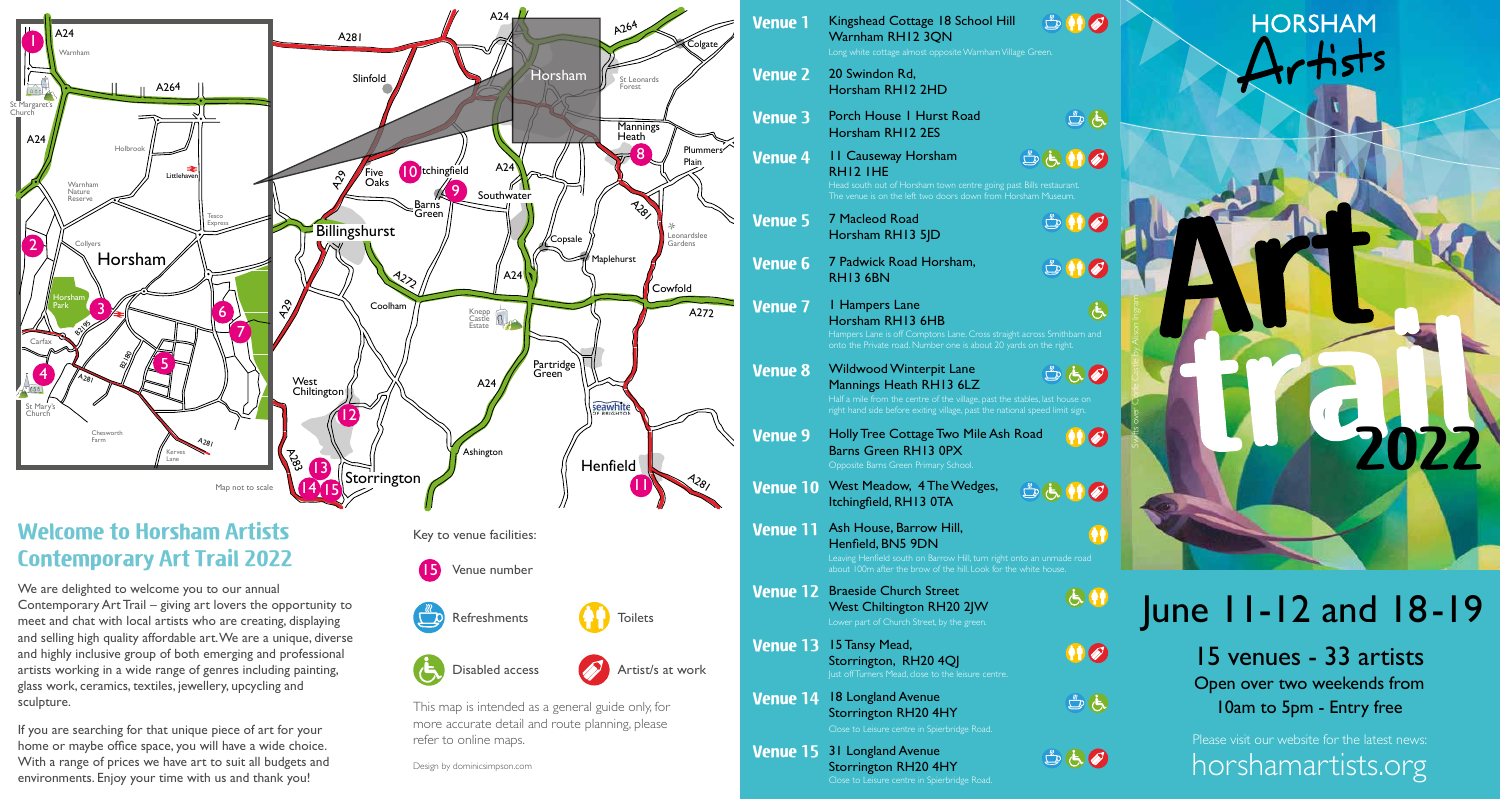

## $\mathbb{D} \mathbb{H}$ **Venue 1** Kingshead Cottage 18 School Hill Warnham RH12 3QN Long white cottage almost opposite Warnham Village Green.

- 20 Swindon Rd, Horsham RH12 2HD **Venue 2**
- **Venue 3** Porch House 1 Hurst Road Horsham RH12 2ES
- 11 Causeway Horsham SGHO **Venue 4** RH12 1HE

Head south out of Horsham town centre going past Bills restaurant.

- **Venue 5** 7 Macleod Road Horsham RH13 5JD
- **Venue 6** 7 Padwick Road Horsham, RH13 6BN
- **Venue 7** 1 Hampers Lane  $\ddot{\theta}$ Horsham RH13 6HB Hampers Lane is off Comptons Lane. Cross straight across Smithbarn and

Swifts over Corfe Castle by Alison Ingram

 $B$ 

 $\mathbb{D}$   $\blacksquare$ 

 $\mathbb{D}$   $\mathbb{H}$   $\mathscr{D}$ 

 $\bigoplus$ 

 $\mathbf{B}$ 

 $B(A)$ 

- Wildwood Winterpit Lane **Venue 8** SECTO Mannings Heath RH13 6LZ Half a mile from the centre of the village, past the stables, last house on
	- Holly Tree Cottage Two Mile Ash Road
- **Venue 9** 410 Barns Green RH13 0PXOpposite Barns Green Primary School.
- **Venue 10** West Meadow, 4 The Wedges, SEMP Itchingfield, RH13 0TA
- **Venue 11** Ash House, Barrow Hill, Henfield, BN5 9DN

- **Venue 12** Braeside Church Street West Chiltington RH20 2JW
- lust off Turners Mead, close to the leisure centre. **Venue 13** 15 Tansy Mead, Storrington, RH20 4QJ
- Close to Leisure centre in Spierbridge Road. **Venue 14** 18 Longland Avenue Storrington RH20 4HY
- Close to Leisure centre in Spierbridge Road. **Venue 15** 31 Longland Avenue Storrington RH20 4HY





**2022**

15 venues - 33 artists Open over two weekends from 10am to 5pm - Entry free

horshamartists.org Please visit our website for the latest news:

and highly inclusive group of both emerging and professional artists working in a wide range of genres including painting, glass work, ceramics, textiles, jewellery, upcycling and sculpture.

If you are searching for that unique piece of art for your home or maybe office space, you will have a wide choice. With a range of prices we have art to suit all budgets and environments. Enjoy your time with us and thank you!

Disabled access  $\sqrt{\phantom{a}}$  Artist/s at work

This map is intended as a general guide only, for more accurate detail and route planning, please refer to online maps.

Design by dominicsimpson.com